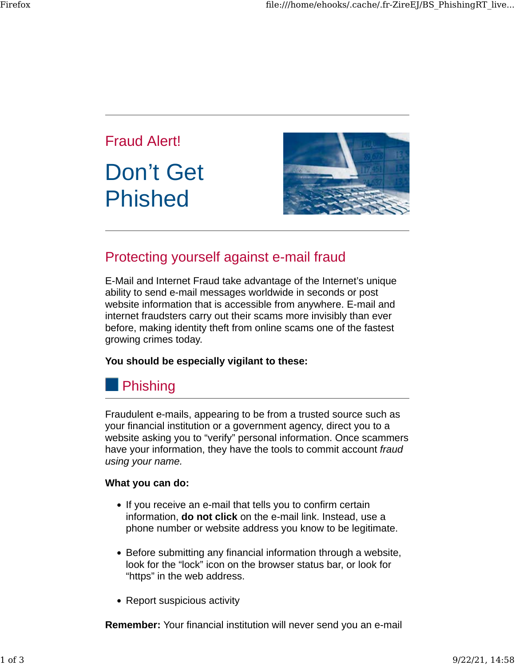

# Protecting yourself against e-mail fraud

E-Mail and Internet Fraud take advantage of the Internet's unique ability to send e-mail messages worldwide in seconds or post website information that is accessible from anywhere. E-mail and internet fraudsters carry out their scams more invisibly than ever before, making identity theft from online scams one of the fastest growing crimes today.

### **You should be especially vigilant to these:**

# **Phishing**

Fraudulent e-mails, appearing to be from a trusted source such as your financial institution or a government agency, direct you to a website asking you to "verify" personal information. Once scammers have your information, they have the tools to commit account *fraud using your name.*

### **What you can do:**

- If you receive an e-mail that tells you to confirm certain information, **do not click** on the e-mail link. Instead, use a phone number or website address you know to be legitimate.
- Before submitting any financial information through a website, look for the "lock" icon on the browser status bar, or look for "https" in the web address.
- Report suspicious activity

**Remember:** Your financial institution will never send you an e-mail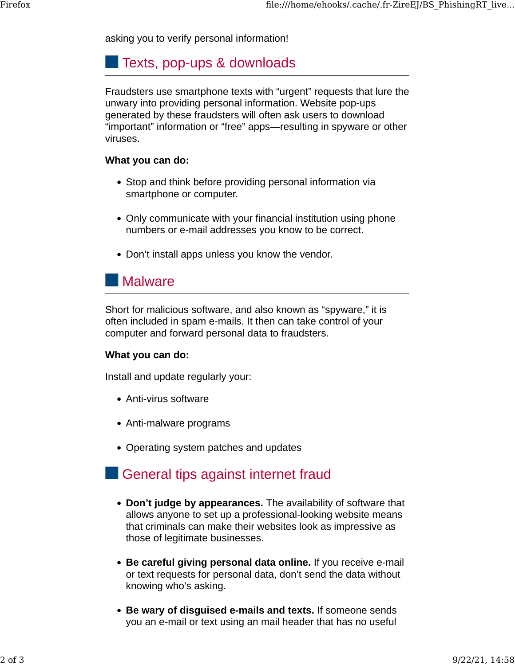asking you to verify personal information!

### **Texts, pop-ups & downloads**

Fraudsters use smartphone texts with "urgent" requests that lure the unwary into providing personal information. Website pop-ups generated by these fraudsters will often ask users to download "important" information or "free" apps—resulting in spyware or other viruses.

### **What you can do:**

- Stop and think before providing personal information via smartphone or computer.
- Only communicate with your financial institution using phone numbers or e-mail addresses you know to be correct.
- Don't install apps unless you know the vendor.

## **Malware**

Short for malicious software, and also known as "spyware," it is often included in spam e-mails. It then can take control of your computer and forward personal data to fraudsters.

### **What you can do:**

Install and update regularly your:

- Anti-virus software
- Anti-malware programs
- Operating system patches and updates

# General tips against internet fraud

- **Don't judge by appearances.** The availability of software that allows anyone to set up a professional-looking website means that criminals can make their websites look as impressive as those of legitimate businesses.
- **Be careful giving personal data online.** If you receive e-mail or text requests for personal data, don't send the data without knowing who's asking.
- **Be wary of disguised e-mails and texts.** If someone sends you an e-mail or text using an mail header that has no useful